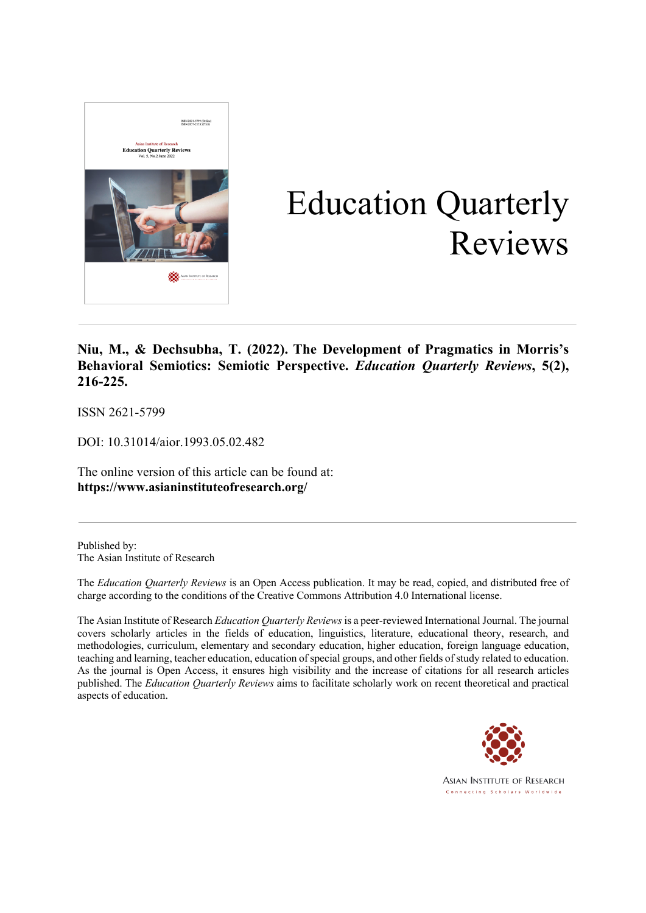

# Education Quarterly Reviews

#### **Niu, M., & Dechsubha, T. (2022). The Development of Pragmatics in Morris's Behavioral Semiotics: Semiotic Perspective.** *Education Quarterly Reviews***, 5(2), 216-225.**

ISSN 2621-5799

DOI: 10.31014/aior.1993.05.02.482

The online version of this article can be found at: **https://www.asianinstituteofresearch.org/**

Published by: The Asian Institute of Research

The *Education Quarterly Reviews* is an Open Access publication. It may be read, copied, and distributed free of charge according to the conditions of the Creative Commons Attribution 4.0 International license.

The Asian Institute of Research *Education Quarterly Reviews* is a peer-reviewed International Journal. The journal covers scholarly articles in the fields of education, linguistics, literature, educational theory, research, and methodologies, curriculum, elementary and secondary education, higher education, foreign language education, teaching and learning, teacher education, education of special groups, and other fields of study related to education. As the journal is Open Access, it ensures high visibility and the increase of citations for all research articles published. The *Education Quarterly Reviews* aims to facilitate scholarly work on recent theoretical and practical aspects of education.



**ASIAN INSTITUTE OF RESEARCH** Connecting Scholars Worldwide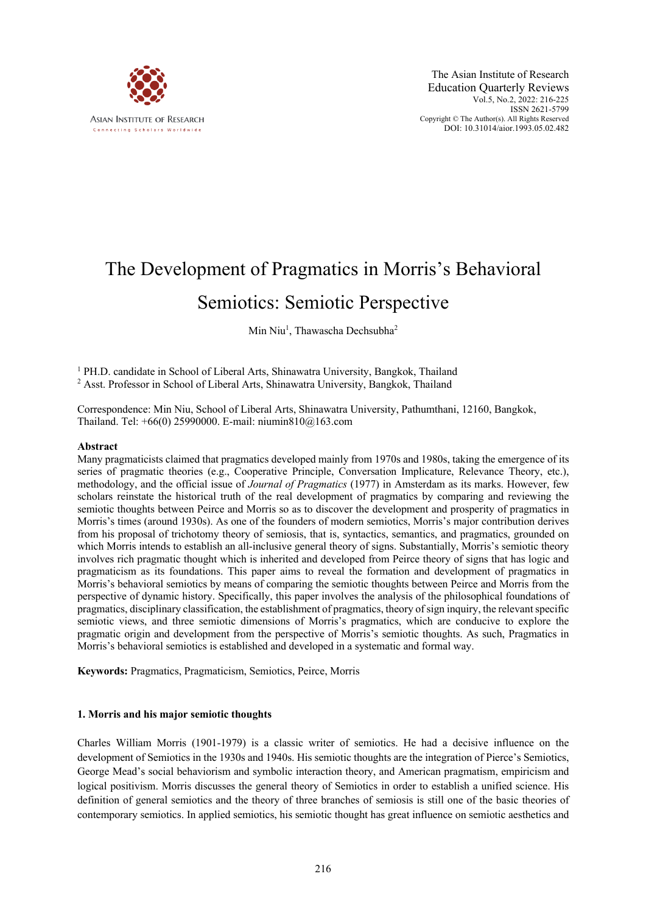

## The Development of Pragmatics in Morris's Behavioral Semiotics: Semiotic Perspective

### Min Niu<sup>1</sup>, Thawascha Dechsubha<sup>2</sup>

<sup>1</sup> PH.D. candidate in School of Liberal Arts, Shinawatra University, Bangkok, Thailand <sup>2</sup> Asst. Professor in School of Liberal Arts, Shinawatra University, Bangkok, Thailand

Correspondence: Min Niu, School of Liberal Arts, Shinawatra University, Pathumthani, 12160, Bangkok, Thailand. Tel: +66(0) 25990000. E-mail: niumin810@163.com

#### **Abstract**

Many pragmaticists claimed that pragmatics developed mainly from 1970s and 1980s, taking the emergence of its series of pragmatic theories (e.g., Cooperative Principle, Conversation Implicature, Relevance Theory, etc.), methodology, and the official issue of *Journal of Pragmatics* (1977) in Amsterdam as its marks. However, few scholars reinstate the historical truth of the real development of pragmatics by comparing and reviewing the semiotic thoughts between Peirce and Morris so as to discover the development and prosperity of pragmatics in Morris's times (around 1930s). As one of the founders of modern semiotics, Morris's major contribution derives from his proposal of trichotomy theory of semiosis, that is, syntactics, semantics, and pragmatics, grounded on which Morris intends to establish an all-inclusive general theory of signs. Substantially, Morris's semiotic theory involves rich pragmatic thought which is inherited and developed from Peirce theory of signs that has logic and pragmaticism as its foundations. This paper aims to reveal the formation and development of pragmatics in Morris's behavioral semiotics by means of comparing the semiotic thoughts between Peirce and Morris from the perspective of dynamic history. Specifically, this paper involves the analysis of the philosophical foundations of pragmatics, disciplinary classification, the establishment of pragmatics, theory of sign inquiry, the relevant specific semiotic views, and three semiotic dimensions of Morris's pragmatics, which are conducive to explore the pragmatic origin and development from the perspective of Morris's semiotic thoughts. As such, Pragmatics in Morris's behavioral semiotics is established and developed in a systematic and formal way.

**Keywords:** Pragmatics, Pragmaticism, Semiotics, Peirce, Morris

#### **1. Morris and his major semiotic thoughts**

Charles William Morris (1901-1979) is a classic writer of semiotics. He had a decisive influence on the development of Semiotics in the 1930s and 1940s. His semiotic thoughts are the integration of Pierce's Semiotics, George Mead's social behaviorism and symbolic interaction theory, and American pragmatism, empiricism and logical positivism. Morris discusses the general theory of Semiotics in order to establish a unified science. His definition of general semiotics and the theory of three branches of semiosis is still one of the basic theories of contemporary semiotics. In applied semiotics, his semiotic thought has great influence on semiotic aesthetics and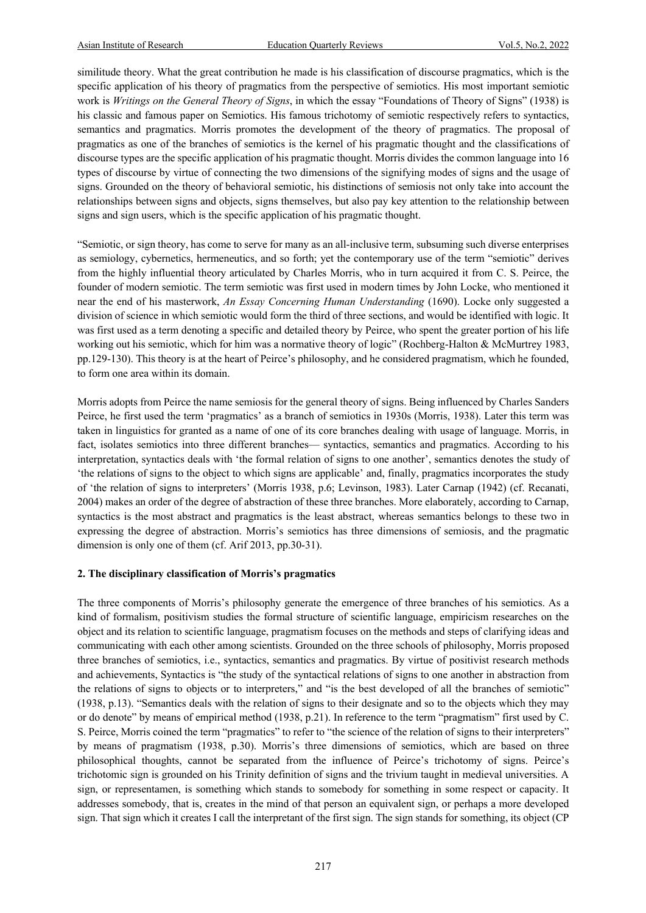similitude theory. What the great contribution he made is his classification of discourse pragmatics, which is the specific application of his theory of pragmatics from the perspective of semiotics. His most important semiotic work is *Writings on the General Theory of Signs*, in which the essay "Foundations of Theory of Signs" (1938) is his classic and famous paper on Semiotics. His famous trichotomy of semiotic respectively refers to syntactics, semantics and pragmatics. Morris promotes the development of the theory of pragmatics. The proposal of pragmatics as one of the branches of semiotics is the kernel of his pragmatic thought and the classifications of discourse types are the specific application of his pragmatic thought. Morris divides the common language into 16 types of discourse by virtue of connecting the two dimensions of the signifying modes of signs and the usage of signs. Grounded on the theory of behavioral semiotic, his distinctions of semiosis not only take into account the relationships between signs and objects, signs themselves, but also pay key attention to the relationship between signs and sign users, which is the specific application of his pragmatic thought.

"Semiotic, or sign theory, has come to serve for many as an all-inclusive term, subsuming such diverse enterprises as semiology, cybernetics, hermeneutics, and so forth; yet the contemporary use of the term "semiotic" derives from the highly influential theory articulated by Charles Morris, who in turn acquired it from C. S. Peirce, the founder of modern semiotic. The term semiotic was first used in modern times by John Locke, who mentioned it near the end of his masterwork, *An Essay Concerning Human Understanding* (1690). Locke only suggested a division of science in which semiotic would form the third of three sections, and would be identified with logic. It was first used as a term denoting a specific and detailed theory by Peirce, who spent the greater portion of his life working out his semiotic, which for him was a normative theory of logic" (Rochberg-Halton & McMurtrey 1983, pp.129-130). This theory is at the heart of Peirce's philosophy, and he considered pragmatism, which he founded, to form one area within its domain.

Morris adopts from Peirce the name semiosis for the general theory of signs. Being influenced by Charles Sanders Peirce, he first used the term 'pragmatics' as a branch of semiotics in 1930s (Morris, 1938). Later this term was taken in linguistics for granted as a name of one of its core branches dealing with usage of language. Morris, in fact, isolates semiotics into three different branches— syntactics, semantics and pragmatics. According to his interpretation, syntactics deals with 'the formal relation of signs to one another', semantics denotes the study of 'the relations of signs to the object to which signs are applicable' and, finally, pragmatics incorporates the study of 'the relation of signs to interpreters' (Morris 1938, p.6; Levinson, 1983). Later Carnap (1942) (cf. Recanati, 2004) makes an order of the degree of abstraction of these three branches. More elaborately, according to Carnap, syntactics is the most abstract and pragmatics is the least abstract, whereas semantics belongs to these two in expressing the degree of abstraction. Morris's semiotics has three dimensions of semiosis, and the pragmatic dimension is only one of them (cf. Arif 2013, pp.30-31).

#### **2. The disciplinary classification of Morris's pragmatics**

The three components of Morris's philosophy generate the emergence of three branches of his semiotics. As a kind of formalism, positivism studies the formal structure of scientific language, empiricism researches on the object and its relation to scientific language, pragmatism focuses on the methods and steps of clarifying ideas and communicating with each other among scientists. Grounded on the three schools of philosophy, Morris proposed three branches of semiotics, i.e., syntactics, semantics and pragmatics. By virtue of positivist research methods and achievements, Syntactics is "the study of the syntactical relations of signs to one another in abstraction from the relations of signs to objects or to interpreters," and "is the best developed of all the branches of semiotic" (1938, p.13). "Semantics deals with the relation of signs to their designate and so to the objects which they may or do denote" by means of empirical method (1938, p.21). In reference to the term "pragmatism" first used by C. S. Peirce, Morris coined the term "pragmatics" to refer to "the science of the relation of signs to their interpreters" by means of pragmatism (1938, p.30). Morris's three dimensions of semiotics, which are based on three philosophical thoughts, cannot be separated from the influence of Peirce's trichotomy of signs. Peirce's trichotomic sign is grounded on his Trinity definition of signs and the trivium taught in medieval universities. A sign, or representamen, is something which stands to somebody for something in some respect or capacity. It addresses somebody, that is, creates in the mind of that person an equivalent sign, or perhaps a more developed sign. That sign which it creates I call the interpretant of the first sign. The sign stands for something, its object (CP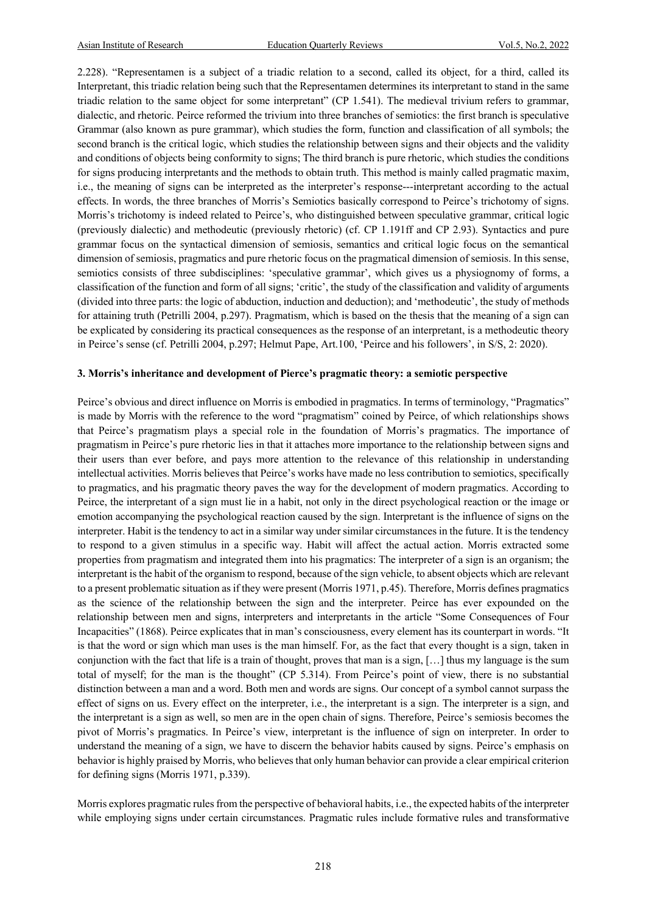2.228). "Representamen is a subject of a triadic relation to a second, called its object, for a third, called its Interpretant, this triadic relation being such that the Representamen determines its interpretant to stand in the same triadic relation to the same object for some interpretant" (CP 1.541). The medieval trivium refers to grammar, dialectic, and rhetoric. Peirce reformed the trivium into three branches of semiotics: the first branch is speculative Grammar (also known as pure grammar), which studies the form, function and classification of all symbols; the second branch is the critical logic, which studies the relationship between signs and their objects and the validity and conditions of objects being conformity to signs; The third branch is pure rhetoric, which studies the conditions for signs producing interpretants and the methods to obtain truth. This method is mainly called pragmatic maxim, i.e., the meaning of signs can be interpreted as the interpreter's response---interpretant according to the actual effects. In words, the three branches of Morris's Semiotics basically correspond to Peirce's trichotomy of signs. Morris's trichotomy is indeed related to Peirce's, who distinguished between speculative grammar, critical logic (previously dialectic) and methodeutic (previously rhetoric) (cf. CP 1.191ff and CP 2.93). Syntactics and pure grammar focus on the syntactical dimension of semiosis, semantics and critical logic focus on the semantical dimension of semiosis, pragmatics and pure rhetoric focus on the pragmatical dimension of semiosis. In this sense, semiotics consists of three subdisciplines: 'speculative grammar', which gives us a physiognomy of forms, a classification of the function and form of all signs; 'critic', the study of the classification and validity of arguments (divided into three parts: the logic of abduction, induction and deduction); and 'methodeutic', the study of methods for attaining truth (Petrilli 2004, p.297). Pragmatism, which is based on the thesis that the meaning of a sign can be explicated by considering its practical consequences as the response of an interpretant, is a methodeutic theory in Peirce's sense (cf. Petrilli 2004, p.297; Helmut Pape, Art.100, 'Peirce and his followers', in S/S, 2: 2020).

#### **3. Morris's inheritance and development of Pierce's pragmatic theory: a semiotic perspective**

Peirce's obvious and direct influence on Morris is embodied in pragmatics. In terms of terminology, "Pragmatics" is made by Morris with the reference to the word "pragmatism" coined by Peirce, of which relationships shows that Peirce's pragmatism plays a special role in the foundation of Morris's pragmatics. The importance of pragmatism in Peirce's pure rhetoric lies in that it attaches more importance to the relationship between signs and their users than ever before, and pays more attention to the relevance of this relationship in understanding intellectual activities. Morris believes that Peirce's works have made no less contribution to semiotics, specifically to pragmatics, and his pragmatic theory paves the way for the development of modern pragmatics. According to Peirce, the interpretant of a sign must lie in a habit, not only in the direct psychological reaction or the image or emotion accompanying the psychological reaction caused by the sign. Interpretant is the influence of signs on the interpreter. Habit is the tendency to act in a similar way under similar circumstances in the future. It is the tendency to respond to a given stimulus in a specific way. Habit will affect the actual action. Morris extracted some properties from pragmatism and integrated them into his pragmatics: The interpreter of a sign is an organism; the interpretant is the habit of the organism to respond, because of the sign vehicle, to absent objects which are relevant to a present problematic situation as if they were present (Morris 1971, p.45). Therefore, Morris defines pragmatics as the science of the relationship between the sign and the interpreter. Peirce has ever expounded on the relationship between men and signs, interpreters and interpretants in the article "Some Consequences of Four Incapacities" (1868). Peirce explicates that in man's consciousness, every element has its counterpart in words. "It is that the word or sign which man uses is the man himself. For, as the fact that every thought is a sign, taken in conjunction with the fact that life is a train of thought, proves that man is a sign, […] thus my language is the sum total of myself; for the man is the thought" (CP 5.314). From Peirce's point of view, there is no substantial distinction between a man and a word. Both men and words are signs. Our concept of a symbol cannot surpass the effect of signs on us. Every effect on the interpreter, i.e., the interpretant is a sign. The interpreter is a sign, and the interpretant is a sign as well, so men are in the open chain of signs. Therefore, Peirce's semiosis becomes the pivot of Morris's pragmatics. In Peirce's view, interpretant is the influence of sign on interpreter. In order to understand the meaning of a sign, we have to discern the behavior habits caused by signs. Peirce's emphasis on behavior is highly praised by Morris, who believes that only human behavior can provide a clear empirical criterion for defining signs (Morris 1971, p.339).

Morris explores pragmatic rules from the perspective of behavioral habits, i.e., the expected habits of the interpreter while employing signs under certain circumstances. Pragmatic rules include formative rules and transformative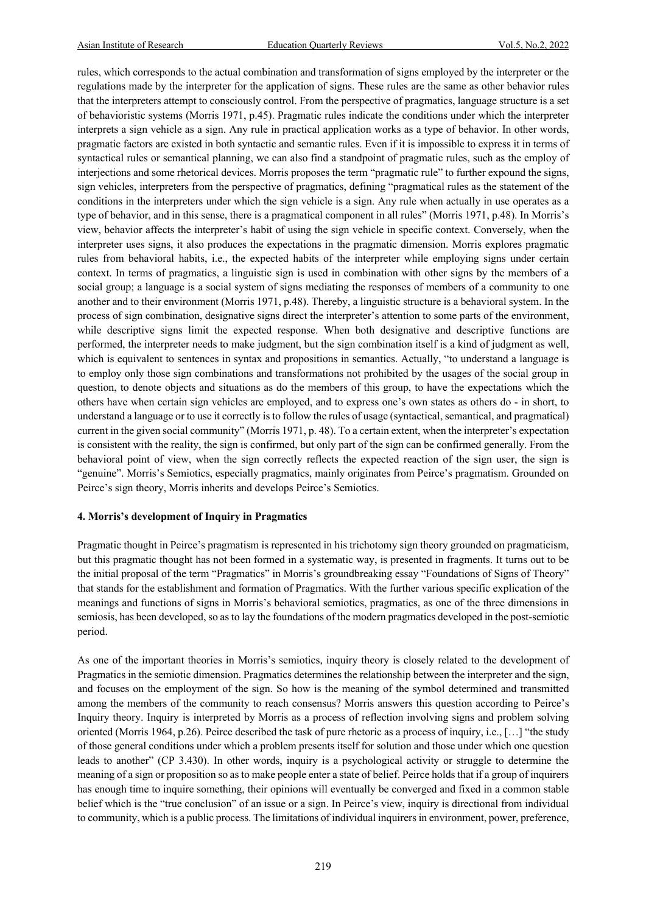rules, which corresponds to the actual combination and transformation of signs employed by the interpreter or the regulations made by the interpreter for the application of signs. These rules are the same as other behavior rules that the interpreters attempt to consciously control. From the perspective of pragmatics, language structure is a set of behavioristic systems (Morris 1971, p.45). Pragmatic rules indicate the conditions under which the interpreter interprets a sign vehicle as a sign. Any rule in practical application works as a type of behavior. In other words, pragmatic factors are existed in both syntactic and semantic rules. Even if it is impossible to express it in terms of syntactical rules or semantical planning, we can also find a standpoint of pragmatic rules, such as the employ of interjections and some rhetorical devices. Morris proposes the term "pragmatic rule" to further expound the signs, sign vehicles, interpreters from the perspective of pragmatics, defining "pragmatical rules as the statement of the conditions in the interpreters under which the sign vehicle is a sign. Any rule when actually in use operates as a type of behavior, and in this sense, there is a pragmatical component in all rules" (Morris 1971, p.48). In Morris's view, behavior affects the interpreter's habit of using the sign vehicle in specific context. Conversely, when the interpreter uses signs, it also produces the expectations in the pragmatic dimension. Morris explores pragmatic rules from behavioral habits, i.e., the expected habits of the interpreter while employing signs under certain context. In terms of pragmatics, a linguistic sign is used in combination with other signs by the members of a social group; a language is a social system of signs mediating the responses of members of a community to one another and to their environment (Morris 1971, p.48). Thereby, a linguistic structure is a behavioral system. In the process of sign combination, designative signs direct the interpreter's attention to some parts of the environment, while descriptive signs limit the expected response. When both designative and descriptive functions are performed, the interpreter needs to make judgment, but the sign combination itself is a kind of judgment as well, which is equivalent to sentences in syntax and propositions in semantics. Actually, "to understand a language is to employ only those sign combinations and transformations not prohibited by the usages of the social group in question, to denote objects and situations as do the members of this group, to have the expectations which the others have when certain sign vehicles are employed, and to express one's own states as others do - in short, to understand a language or to use it correctly is to follow the rules of usage (syntactical, semantical, and pragmatical) current in the given social community" (Morris 1971, p. 48). To a certain extent, when the interpreter's expectation is consistent with the reality, the sign is confirmed, but only part of the sign can be confirmed generally. From the behavioral point of view, when the sign correctly reflects the expected reaction of the sign user, the sign is "genuine". Morris's Semiotics, especially pragmatics, mainly originates from Peirce's pragmatism. Grounded on Peirce's sign theory, Morris inherits and develops Peirce's Semiotics.

#### **4. Morris's development of Inquiry in Pragmatics**

Pragmatic thought in Peirce's pragmatism is represented in his trichotomy sign theory grounded on pragmaticism, but this pragmatic thought has not been formed in a systematic way, is presented in fragments. It turns out to be the initial proposal of the term "Pragmatics" in Morris's groundbreaking essay "Foundations of Signs of Theory" that stands for the establishment and formation of Pragmatics. With the further various specific explication of the meanings and functions of signs in Morris's behavioral semiotics, pragmatics, as one of the three dimensions in semiosis, has been developed, so as to lay the foundations of the modern pragmatics developed in the post-semiotic period.

As one of the important theories in Morris's semiotics, inquiry theory is closely related to the development of Pragmatics in the semiotic dimension. Pragmatics determines the relationship between the interpreter and the sign, and focuses on the employment of the sign. So how is the meaning of the symbol determined and transmitted among the members of the community to reach consensus? Morris answers this question according to Peirce's Inquiry theory. Inquiry is interpreted by Morris as a process of reflection involving signs and problem solving oriented (Morris 1964, p.26). Peirce described the task of pure rhetoric as a process of inquiry, i.e., […] "the study of those general conditions under which a problem presents itself for solution and those under which one question leads to another" (CP 3.430). In other words, inquiry is a psychological activity or struggle to determine the meaning of a sign or proposition so as to make people enter a state of belief. Peirce holds that if a group of inquirers has enough time to inquire something, their opinions will eventually be converged and fixed in a common stable belief which is the "true conclusion" of an issue or a sign. In Peirce's view, inquiry is directional from individual to community, which is a public process. The limitations of individual inquirers in environment, power, preference,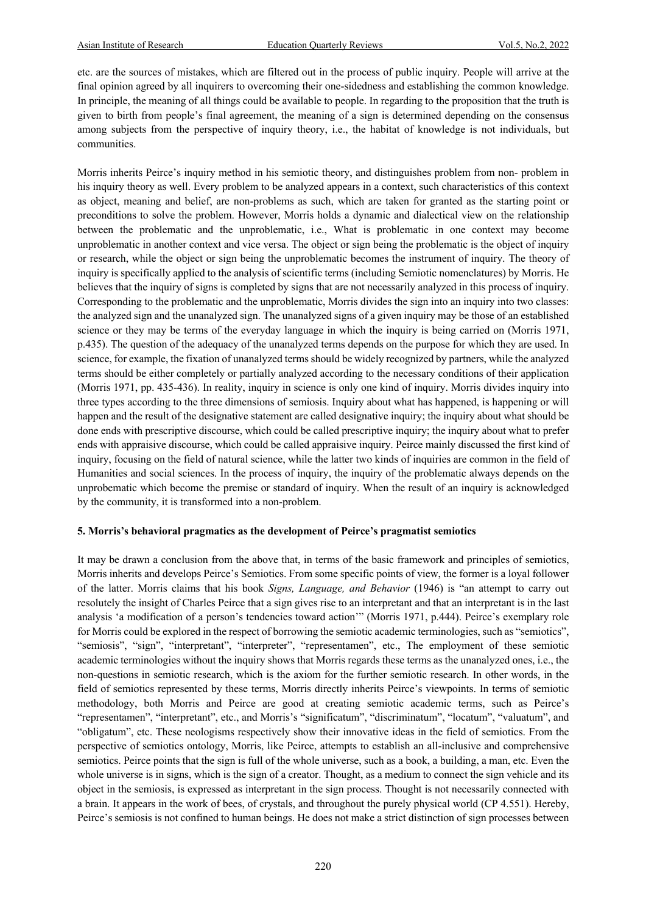etc. are the sources of mistakes, which are filtered out in the process of public inquiry. People will arrive at the final opinion agreed by all inquirers to overcoming their one-sidedness and establishing the common knowledge. In principle, the meaning of all things could be available to people. In regarding to the proposition that the truth is given to birth from people's final agreement, the meaning of a sign is determined depending on the consensus among subjects from the perspective of inquiry theory, i.e., the habitat of knowledge is not individuals, but communities.

Morris inherits Peirce's inquiry method in his semiotic theory, and distinguishes problem from non- problem in his inquiry theory as well. Every problem to be analyzed appears in a context, such characteristics of this context as object, meaning and belief, are non-problems as such, which are taken for granted as the starting point or preconditions to solve the problem. However, Morris holds a dynamic and dialectical view on the relationship between the problematic and the unproblematic, i.e., What is problematic in one context may become unproblematic in another context and vice versa. The object or sign being the problematic is the object of inquiry or research, while the object or sign being the unproblematic becomes the instrument of inquiry. The theory of inquiry is specifically applied to the analysis of scientific terms (including Semiotic nomenclatures) by Morris. He believes that the inquiry of signs is completed by signs that are not necessarily analyzed in this process of inquiry. Corresponding to the problematic and the unproblematic, Morris divides the sign into an inquiry into two classes: the analyzed sign and the unanalyzed sign. The unanalyzed signs of a given inquiry may be those of an established science or they may be terms of the everyday language in which the inquiry is being carried on (Morris 1971, p.435). The question of the adequacy of the unanalyzed terms depends on the purpose for which they are used. In science, for example, the fixation of unanalyzed terms should be widely recognized by partners, while the analyzed terms should be either completely or partially analyzed according to the necessary conditions of their application (Morris 1971, pp. 435-436). In reality, inquiry in science is only one kind of inquiry. Morris divides inquiry into three types according to the three dimensions of semiosis. Inquiry about what has happened, is happening or will happen and the result of the designative statement are called designative inquiry; the inquiry about what should be done ends with prescriptive discourse, which could be called prescriptive inquiry; the inquiry about what to prefer ends with appraisive discourse, which could be called appraisive inquiry. Peirce mainly discussed the first kind of inquiry, focusing on the field of natural science, while the latter two kinds of inquiries are common in the field of Humanities and social sciences. In the process of inquiry, the inquiry of the problematic always depends on the unprobematic which become the premise or standard of inquiry. When the result of an inquiry is acknowledged by the community, it is transformed into a non-problem.

#### **5. Morris's behavioral pragmatics as the development of Peirce's pragmatist semiotics**

It may be drawn a conclusion from the above that, in terms of the basic framework and principles of semiotics, Morris inherits and develops Peirce's Semiotics. From some specific points of view, the former is a loyal follower of the latter. Morris claims that his book *Signs, Language, and Behavior* (1946) is "an attempt to carry out resolutely the insight of Charles Peirce that a sign gives rise to an interpretant and that an interpretant is in the last analysis 'a modification of a person's tendencies toward action'" (Morris 1971, p.444). Peirce's exemplary role for Morris could be explored in the respect of borrowing the semiotic academic terminologies, such as "semiotics", "semiosis", "sign", "interpretant", "interpreter", "representamen", etc., The employment of these semiotic academic terminologies without the inquiry shows that Morris regards these terms as the unanalyzed ones, i.e., the non-questions in semiotic research, which is the axiom for the further semiotic research. In other words, in the field of semiotics represented by these terms, Morris directly inherits Peirce's viewpoints. In terms of semiotic methodology, both Morris and Peirce are good at creating semiotic academic terms, such as Peirce's "representamen", "interpretant", etc., and Morris's "significatum", "discriminatum", "locatum", "valuatum", and "obligatum", etc. These neologisms respectively show their innovative ideas in the field of semiotics. From the perspective of semiotics ontology, Morris, like Peirce, attempts to establish an all-inclusive and comprehensive semiotics. Peirce points that the sign is full of the whole universe, such as a book, a building, a man, etc. Even the whole universe is in signs, which is the sign of a creator. Thought, as a medium to connect the sign vehicle and its object in the semiosis, is expressed as interpretant in the sign process. Thought is not necessarily connected with a brain. It appears in the work of bees, of crystals, and throughout the purely physical world (CP 4.551). Hereby, Peirce's semiosis is not confined to human beings. He does not make a strict distinction of sign processes between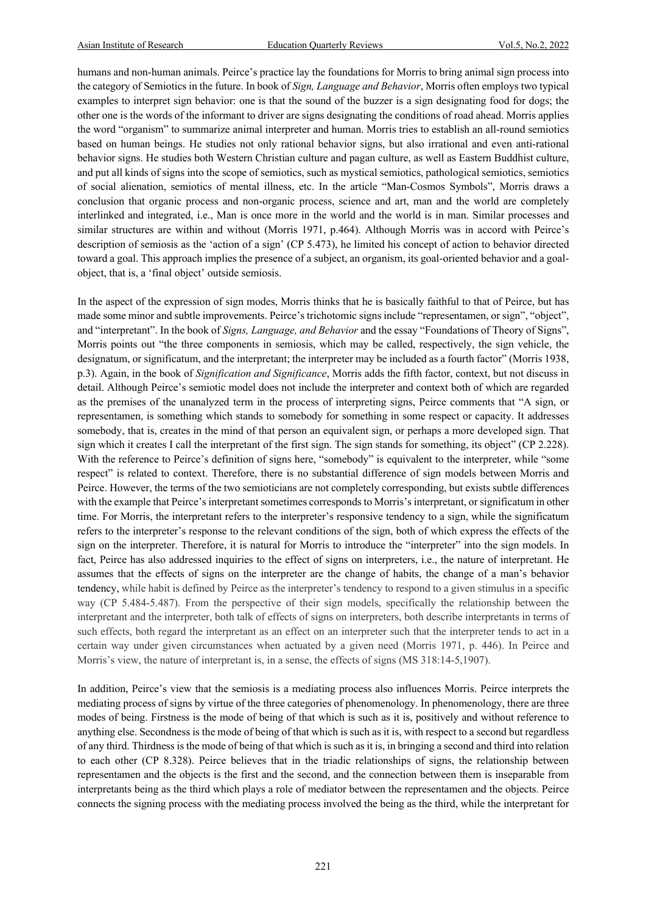humans and non-human animals. Peirce's practice lay the foundations for Morris to bring animal sign process into the category of Semiotics in the future. In book of *Sign, Language and Behavior*, Morris often employs two typical examples to interpret sign behavior: one is that the sound of the buzzer is a sign designating food for dogs; the other one is the words of the informant to driver are signs designating the conditions of road ahead. Morris applies the word "organism" to summarize animal interpreter and human. Morris tries to establish an all-round semiotics based on human beings. He studies not only rational behavior signs, but also irrational and even anti-rational behavior signs. He studies both Western Christian culture and pagan culture, as well as Eastern Buddhist culture, and put all kinds of signs into the scope of semiotics, such as mystical semiotics, pathological semiotics, semiotics of social alienation, semiotics of mental illness, etc. In the article "Man-Cosmos Symbols", Morris draws a conclusion that organic process and non-organic process, science and art, man and the world are completely interlinked and integrated, i.e., Man is once more in the world and the world is in man. Similar processes and similar structures are within and without (Morris 1971, p.464). Although Morris was in accord with Peirce's description of semiosis as the 'action of a sign' (CP 5.473), he limited his concept of action to behavior directed toward a goal. This approach implies the presence of a subject, an organism, its goal-oriented behavior and a goalobject, that is, a 'final object' outside semiosis.

In the aspect of the expression of sign modes, Morris thinks that he is basically faithful to that of Peirce, but has made some minor and subtle improvements. Peirce's trichotomic signs include "representamen, or sign", "object", and "interpretant". In the book of *Signs, Language, and Behavior* and the essay "Foundations of Theory of Signs", Morris points out "the three components in semiosis, which may be called, respectively, the sign vehicle, the designatum, or significatum, and the interpretant; the interpreter may be included as a fourth factor" (Morris 1938, p.3). Again, in the book of *Signification and Significance*, Morris adds the fifth factor, context, but not discuss in detail. Although Peirce's semiotic model does not include the interpreter and context both of which are regarded as the premises of the unanalyzed term in the process of interpreting signs, Peirce comments that "A sign, or representamen, is something which stands to somebody for something in some respect or capacity. It addresses somebody, that is, creates in the mind of that person an equivalent sign, or perhaps a more developed sign. That sign which it creates I call the interpretant of the first sign. The sign stands for something, its object" (CP 2.228). With the reference to Peirce's definition of signs here, "somebody" is equivalent to the interpreter, while "some respect" is related to context. Therefore, there is no substantial difference of sign models between Morris and Peirce. However, the terms of the two semioticians are not completely corresponding, but exists subtle differences with the example that Peirce's interpretant sometimes corresponds to Morris's interpretant, or significatum in other time. For Morris, the interpretant refers to the interpreter's responsive tendency to a sign, while the significatum refers to the interpreter's response to the relevant conditions of the sign, both of which express the effects of the sign on the interpreter. Therefore, it is natural for Morris to introduce the "interpreter" into the sign models. In fact, Peirce has also addressed inquiries to the effect of signs on interpreters, i.e., the nature of interpretant. He assumes that the effects of signs on the interpreter are the change of habits, the change of a man's behavior tendency, while habit is defined by Peirce as the interpreter's tendency to respond to a given stimulus in a specific way (CP 5.484-5.487). From the perspective of their sign models, specifically the relationship between the interpretant and the interpreter, both talk of effects of signs on interpreters, both describe interpretants in terms of such effects, both regard the interpretant as an effect on an interpreter such that the interpreter tends to act in a certain way under given circumstances when actuated by a given need (Morris 1971, p. 446). In Peirce and Morris's view, the nature of interpretant is, in a sense, the effects of signs (MS 318:14-5,1907).

In addition, Peirce's view that the semiosis is a mediating process also influences Morris. Peirce interprets the mediating process of signs by virtue of the three categories of phenomenology. In phenomenology, there are three modes of being. Firstness is the mode of being of that which is such as it is, positively and without reference to anything else. Secondness is the mode of being of that which is such as it is, with respect to a second but regardless of any third. Thirdness is the mode of being of that which is such as it is, in bringing a second and third into relation to each other (CP 8.328). Peirce believes that in the triadic relationships of signs, the relationship between representamen and the objects is the first and the second, and the connection between them is inseparable from interpretants being as the third which plays a role of mediator between the representamen and the objects. Peirce connects the signing process with the mediating process involved the being as the third, while the interpretant for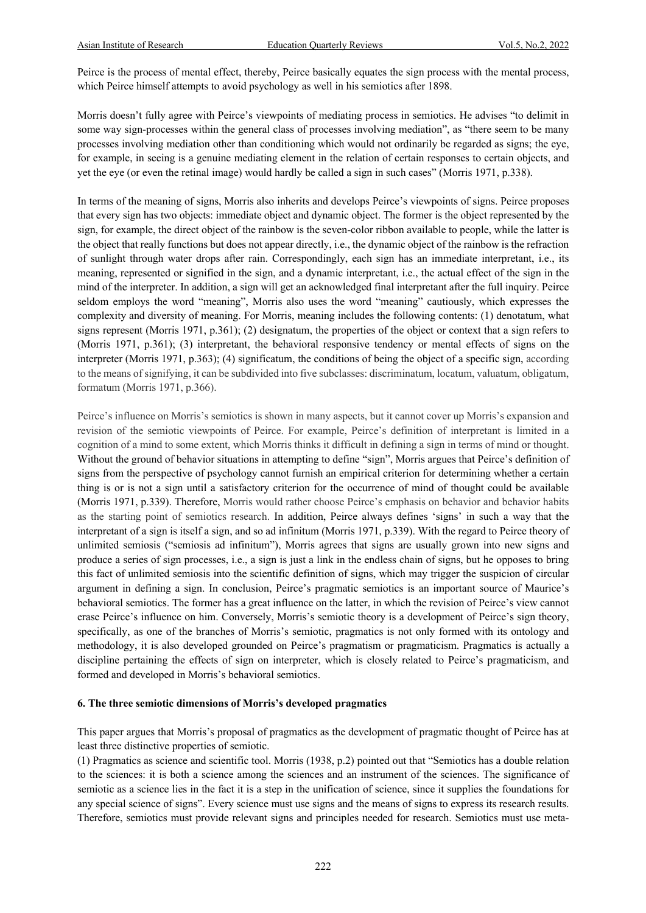Peirce is the process of mental effect, thereby, Peirce basically equates the sign process with the mental process, which Peirce himself attempts to avoid psychology as well in his semiotics after 1898.

Morris doesn't fully agree with Peirce's viewpoints of mediating process in semiotics. He advises "to delimit in some way sign-processes within the general class of processes involving mediation", as "there seem to be many processes involving mediation other than conditioning which would not ordinarily be regarded as signs; the eye, for example, in seeing is a genuine mediating element in the relation of certain responses to certain objects, and yet the eye (or even the retinal image) would hardly be called a sign in such cases" (Morris 1971, p.338).

In terms of the meaning of signs, Morris also inherits and develops Peirce's viewpoints of signs. Peirce proposes that every sign has two objects: immediate object and dynamic object. The former is the object represented by the sign, for example, the direct object of the rainbow is the seven-color ribbon available to people, while the latter is the object that really functions but does not appear directly, i.e., the dynamic object of the rainbow is the refraction of sunlight through water drops after rain. Correspondingly, each sign has an immediate interpretant, i.e., its meaning, represented or signified in the sign, and a dynamic interpretant, i.e., the actual effect of the sign in the mind of the interpreter. In addition, a sign will get an acknowledged final interpretant after the full inquiry. Peirce seldom employs the word "meaning", Morris also uses the word "meaning" cautiously, which expresses the complexity and diversity of meaning. For Morris, meaning includes the following contents: (1) denotatum, what signs represent (Morris 1971, p.361); (2) designatum, the properties of the object or context that a sign refers to (Morris 1971, p.361); (3) interpretant, the behavioral responsive tendency or mental effects of signs on the interpreter (Morris 1971, p.363); (4) significatum, the conditions of being the object of a specific sign, according to the means of signifying, it can be subdivided into five subclasses: discriminatum, locatum, valuatum, obligatum, formatum (Morris 1971, p.366).

Peirce's influence on Morris's semiotics is shown in many aspects, but it cannot cover up Morris's expansion and revision of the semiotic viewpoints of Peirce. For example, Peirce's definition of interpretant is limited in a cognition of a mind to some extent, which Morris thinks it difficult in defining a sign in terms of mind or thought. Without the ground of behavior situations in attempting to define "sign", Morris argues that Peirce's definition of signs from the perspective of psychology cannot furnish an empirical criterion for determining whether a certain thing is or is not a sign until a satisfactory criterion for the occurrence of mind of thought could be available (Morris 1971, p.339). Therefore, Morris would rather choose Peirce's emphasis on behavior and behavior habits as the starting point of semiotics research. In addition, Peirce always defines 'signs' in such a way that the interpretant of a sign is itself a sign, and so ad infinitum (Morris 1971, p.339). With the regard to Peirce theory of unlimited semiosis ("semiosis ad infinitum"), Morris agrees that signs are usually grown into new signs and produce a series of sign processes, i.e., a sign is just a link in the endless chain of signs, but he opposes to bring this fact of unlimited semiosis into the scientific definition of signs, which may trigger the suspicion of circular argument in defining a sign. In conclusion, Peirce's pragmatic semiotics is an important source of Maurice's behavioral semiotics. The former has a great influence on the latter, in which the revision of Peirce's view cannot erase Peirce's influence on him. Conversely, Morris's semiotic theory is a development of Peirce's sign theory, specifically, as one of the branches of Morris's semiotic, pragmatics is not only formed with its ontology and methodology, it is also developed grounded on Peirce's pragmatism or pragmaticism. Pragmatics is actually a discipline pertaining the effects of sign on interpreter, which is closely related to Peirce's pragmaticism, and formed and developed in Morris's behavioral semiotics.

#### **6. The three semiotic dimensions of Morris's developed pragmatics**

This paper argues that Morris's proposal of pragmatics as the development of pragmatic thought of Peirce has at least three distinctive properties of semiotic.

(1) Pragmatics as science and scientific tool. Morris (1938, p.2) pointed out that "Semiotics has a double relation to the sciences: it is both a science among the sciences and an instrument of the sciences. The significance of semiotic as a science lies in the fact it is a step in the unification of science, since it supplies the foundations for any special science of signs". Every science must use signs and the means of signs to express its research results. Therefore, semiotics must provide relevant signs and principles needed for research. Semiotics must use meta-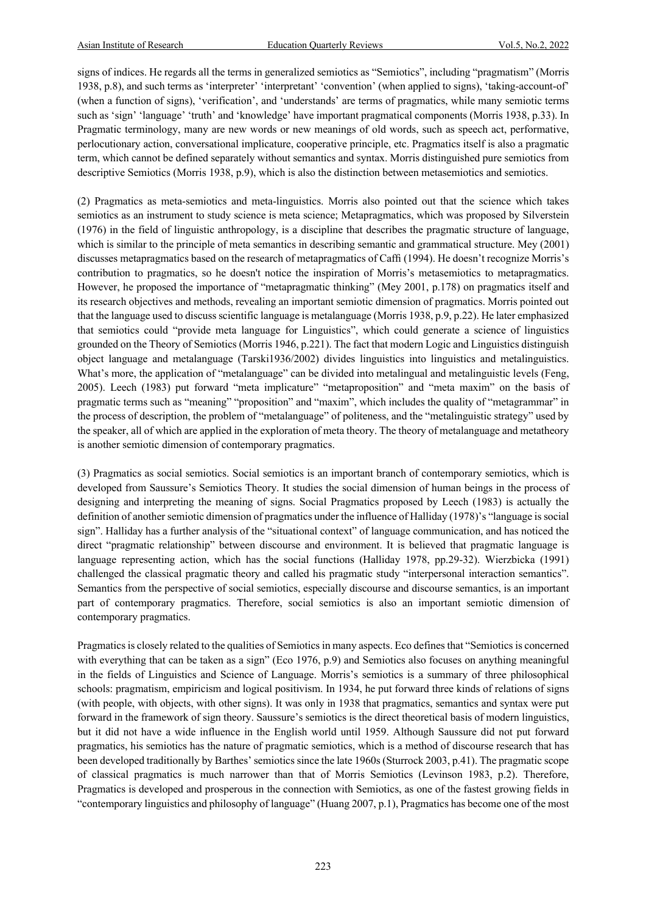signs of indices. He regards all the terms in generalized semiotics as "Semiotics", including "pragmatism" (Morris 1938, p.8), and such terms as 'interpreter' 'interpretant' 'convention' (when applied to signs), 'taking-account-of' (when a function of signs), 'verification', and 'understands' are terms of pragmatics, while many semiotic terms such as 'sign' 'language' 'truth' and 'knowledge' have important pragmatical components (Morris 1938, p.33). In Pragmatic terminology, many are new words or new meanings of old words, such as speech act, performative, perlocutionary action, conversational implicature, cooperative principle, etc. Pragmatics itself is also a pragmatic term, which cannot be defined separately without semantics and syntax. Morris distinguished pure semiotics from descriptive Semiotics (Morris 1938, p.9), which is also the distinction between metasemiotics and semiotics.

(2) Pragmatics as meta-semiotics and meta-linguistics. Morris also pointed out that the science which takes semiotics as an instrument to study science is meta science; Metapragmatics, which was proposed by Silverstein (1976) in the field of linguistic anthropology, is a discipline that describes the pragmatic structure of language, which is similar to the principle of meta semantics in describing semantic and grammatical structure. Mey (2001) discusses metapragmatics based on the research of metapragmatics of Caffi (1994). He doesn't recognize Morris's contribution to pragmatics, so he doesn't notice the inspiration of Morris's metasemiotics to metapragmatics. However, he proposed the importance of "metapragmatic thinking" (Mey 2001, p.178) on pragmatics itself and its research objectives and methods, revealing an important semiotic dimension of pragmatics. Morris pointed out that the language used to discuss scientific language is metalanguage (Morris 1938, p.9, p.22). He later emphasized that semiotics could "provide meta language for Linguistics", which could generate a science of linguistics grounded on the Theory of Semiotics (Morris 1946, p.221). The fact that modern Logic and Linguistics distinguish object language and metalanguage (Tarski1936/2002) divides linguistics into linguistics and metalinguistics. What's more, the application of "metalanguage" can be divided into metalingual and metalinguistic levels (Feng, 2005). Leech (1983) put forward "meta implicature" "metaproposition" and "meta maxim" on the basis of pragmatic terms such as "meaning" "proposition" and "maxim", which includes the quality of "metagrammar" in the process of description, the problem of "metalanguage" of politeness, and the "metalinguistic strategy" used by the speaker, all of which are applied in the exploration of meta theory. The theory of metalanguage and metatheory is another semiotic dimension of contemporary pragmatics.

(3) Pragmatics as social semiotics. Social semiotics is an important branch of contemporary semiotics, which is developed from Saussure's Semiotics Theory. It studies the social dimension of human beings in the process of designing and interpreting the meaning of signs. Social Pragmatics proposed by Leech (1983) is actually the definition of another semiotic dimension of pragmatics under the influence of Halliday (1978)'s "language is social sign". Halliday has a further analysis of the "situational context" of language communication, and has noticed the direct "pragmatic relationship" between discourse and environment. It is believed that pragmatic language is language representing action, which has the social functions (Halliday 1978, pp.29-32). Wierzbicka (1991) challenged the classical pragmatic theory and called his pragmatic study "interpersonal interaction semantics". Semantics from the perspective of social semiotics, especially discourse and discourse semantics, is an important part of contemporary pragmatics. Therefore, social semiotics is also an important semiotic dimension of contemporary pragmatics.

Pragmatics is closely related to the qualities of Semiotics in many aspects. Eco defines that "Semiotics is concerned with everything that can be taken as a sign" (Eco 1976, p.9) and Semiotics also focuses on anything meaningful in the fields of Linguistics and Science of Language. Morris's semiotics is a summary of three philosophical schools: pragmatism, empiricism and logical positivism. In 1934, he put forward three kinds of relations of signs (with people, with objects, with other signs). It was only in 1938 that pragmatics, semantics and syntax were put forward in the framework of sign theory. Saussure's semiotics is the direct theoretical basis of modern linguistics, but it did not have a wide influence in the English world until 1959. Although Saussure did not put forward pragmatics, his semiotics has the nature of pragmatic semiotics, which is a method of discourse research that has been developed traditionally by Barthes' semiotics since the late 1960s (Sturrock 2003, p.41). The pragmatic scope of classical pragmatics is much narrower than that of Morris Semiotics (Levinson 1983, p.2). Therefore, Pragmatics is developed and prosperous in the connection with Semiotics, as one of the fastest growing fields in "contemporary linguistics and philosophy of language" (Huang 2007, p.1), Pragmatics has become one of the most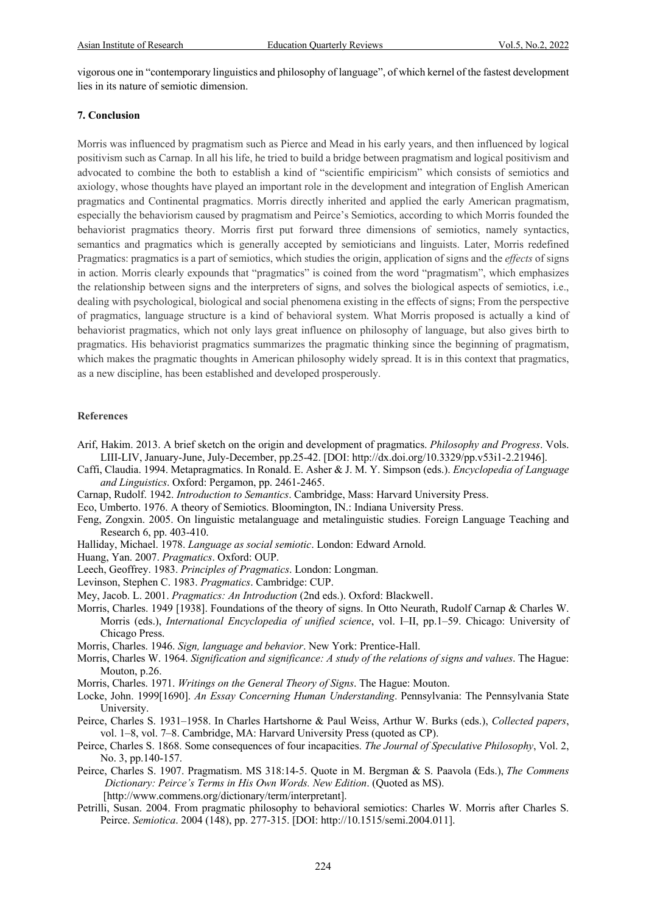vigorous one in "contemporary linguistics and philosophy of language", of which kernel of the fastest development lies in its nature of semiotic dimension.

#### **7. Conclusion**

Morris was influenced by pragmatism such as Pierce and Mead in his early years, and then influenced by logical positivism such as Carnap. In all his life, he tried to build a bridge between pragmatism and logical positivism and advocated to combine the both to establish a kind of "scientific empiricism" which consists of semiotics and axiology, whose thoughts have played an important role in the development and integration of English American pragmatics and Continental pragmatics. Morris directly inherited and applied the early American pragmatism, especially the behaviorism caused by pragmatism and Peirce's Semiotics, according to which Morris founded the behaviorist pragmatics theory. Morris first put forward three dimensions of semiotics, namely syntactics, semantics and pragmatics which is generally accepted by semioticians and linguists. Later, Morris redefined Pragmatics: pragmatics is a part of semiotics, which studies the origin, application of signs and the *effects* of signs in action. Morris clearly expounds that "pragmatics" is coined from the word "pragmatism", which emphasizes the relationship between signs and the interpreters of signs, and solves the biological aspects of semiotics, i.e., dealing with psychological, biological and social phenomena existing in the effects of signs; From the perspective of pragmatics, language structure is a kind of behavioral system. What Morris proposed is actually a kind of behaviorist pragmatics, which not only lays great influence on philosophy of language, but also gives birth to pragmatics. His behaviorist pragmatics summarizes the pragmatic thinking since the beginning of pragmatism, which makes the pragmatic thoughts in American philosophy widely spread. It is in this context that pragmatics, as a new discipline, has been established and developed prosperously.

#### **References**

- Arif, Hakim. 2013. A brief sketch on the origin and development of pragmatics. *Philosophy and Progress*. Vols. LIII-LIV, January-June, July-December, pp.25-42. [DOI: http://dx.doi.org/10.3329/pp.v53i1-2.21946].
- Caffi, Claudia. 1994. Metapragmatics. In Ronald. E. Asher & J. M. Y. Simpson (eds.). *Encyclopedia of Language and Linguistics*. Oxford: Pergamon, pp. 2461-2465.
- Carnap, Rudolf. 1942. *Introduction to Semantics*. Cambridge, Mass: Harvard University Press.
- Eco, Umberto. 1976. A theory of Semiotics. Bloomington, IN.: Indiana University Press.

Feng, Zongxin. 2005. On linguistic metalanguage and metalinguistic studies. Foreign Language Teaching and Research 6, pp. 403-410.

Halliday, Michael. 1978. *Language as social semiotic*. London: Edward Arnold.

Huang, Yan. 2007. *Pragmatics*. Oxford: OUP.

Leech, Geoffrey. 1983. *Principles of Pragmatics*. London: Longman.

Levinson, Stephen C. 1983. *Pragmatics*. Cambridge: CUP.

Mey, Jacob. L. 2001. *Pragmatics: An Introduction* (2nd eds.). Oxford: Blackwell.

Morris, Charles. 1949 [1938]. Foundations of the theory of signs. In Otto Neurath, Rudolf Carnap & Charles W. Morris (eds.), *International Encyclopedia of unified science*, vol. I–II, pp.1–59. Chicago: University of Chicago Press.

Morris, Charles. 1946. *Sign, language and behavior*. New York: Prentice-Hall.

- Morris, Charles W. 1964. *Signification and significance: A study of the relations of signs and values*. The Hague: Mouton, p.26.
- Morris, Charles. 1971. *Writings on the General Theory of Signs*. The Hague: Mouton.
- Locke, John. 1999[1690]. *An Essay Concerning Human Understanding*. Pennsylvania: The Pennsylvania State University.
- Peirce, Charles S. 1931*–*1958. In Charles Hartshorne & Paul Weiss, Arthur W. Burks (eds.), *Collected papers*, vol. 1*–*8, vol. 7*–*8. Cambridge, MA: Harvard University Press (quoted as CP).
- Peirce, Charles S. 1868. Some consequences of four incapacities. *The Journal of Speculative Philosophy*, Vol. 2, No. 3, pp.140-157.
- Peirce, Charles S. 1907. Pragmatism. MS 318:14-5. Quote in M. Bergman & S. Paavola (Eds.), *The Commens Dictionary: Peirce's Terms in His Own Words. New Edition*. (Quoted as MS). [http://www.commens.org/dictionary/term/interpretant].
- Petrilli, Susan. 2004. From pragmatic philosophy to behavioral semiotics: Charles W. Morris after Charles S. Peirce. *Semiotica*. 2004 (148), pp. 277-315. [DOI: http://10.1515/semi.2004.011].